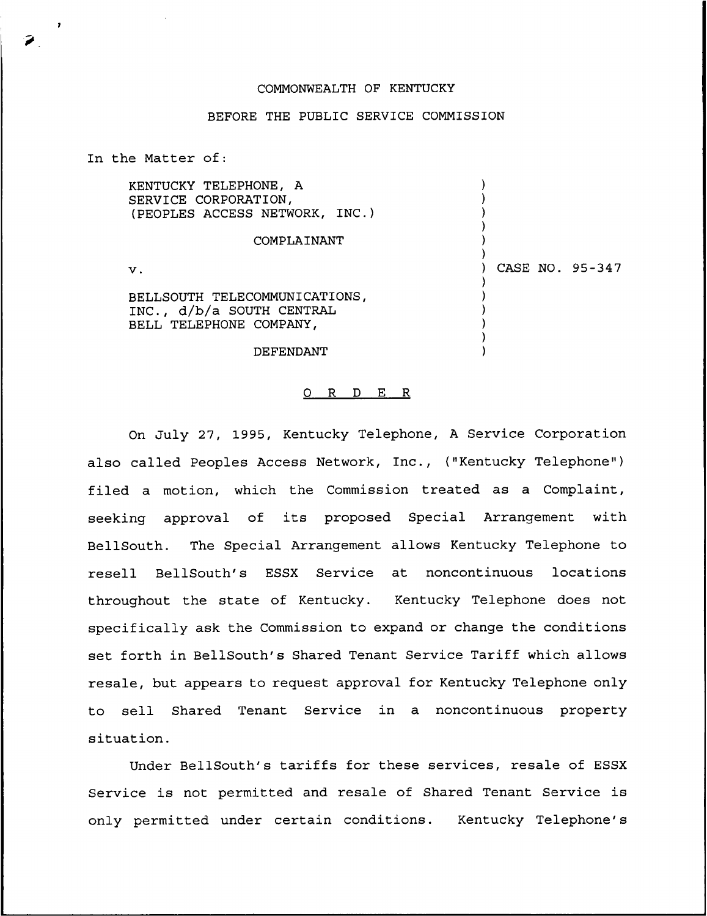## COMMONWEALTH OF KENTUCKY

## BEFORE THE PUBLIC SERVICE COMMISSION

) ) ) ) ) )

) ) ) ) ) )

) CASE NO. 95-347

In the Matter of:

KENTUCKY TELEPHONE, A SERVICE CORPORATION, {PEOPLES ACCESS NETWORK, INC.)

## COMPLAINANT

 $\mathbf v$ .

BELLSOUTH TELECOMMUNICATIONS, INC., d/b/a SOUTH CENTRAL BELL TELEPHONE COMPANY,

DEFENDANT

## 0 R <sup>D</sup> E R

On July 27, 1995, Kentucky Telephone, <sup>A</sup> Service Corporation also called Peoples Access Network, Inc., ("Kentucky Telephone" ) filed a motion, which the Commission treated as a Complaint, seeking approval of its proposed Special Arrangement with BellSouth. The Special Arrangement allows Kentucky Telephone to resell BellSouth's ESSX Service at noncontinuous locations throughout the state of Kentucky. Kentucky Telephone does not specifically ask the Commission to expand or change the conditions set forth in BellSouth's Shared Tenant Service Tariff which allows resale, but appears to request approval for Kentucky Telephone only to sell Shared Tenant Service in a noncontinuous property situation.

Under BellSouth's tariffs for these services, resale of ESSX Service is not permitted and resale of Shared Tenant Service is only permitted under certain conditions. Kentucky Telephone's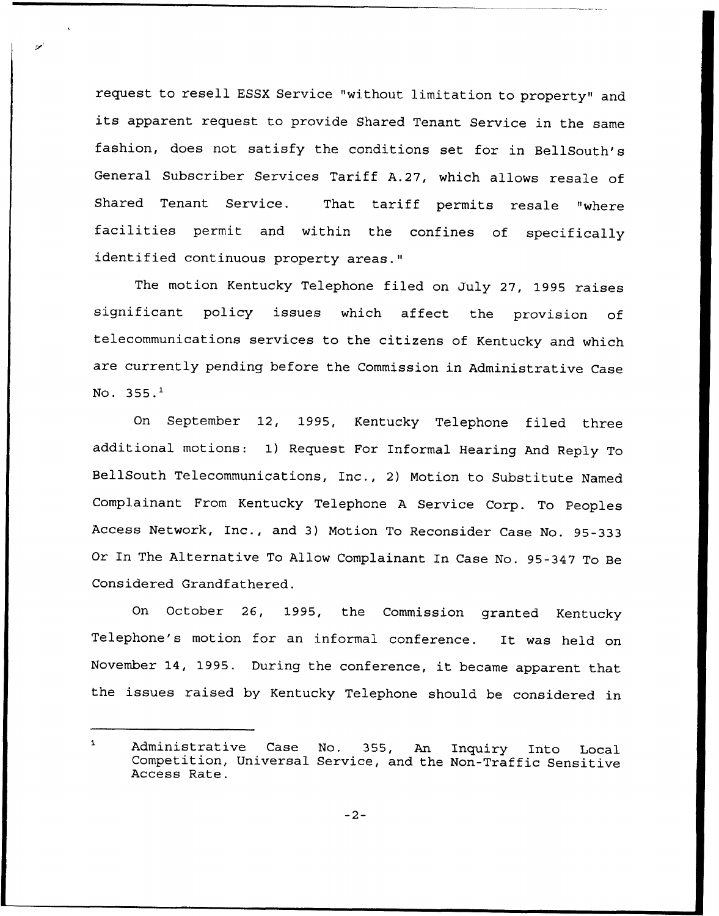request to resell ESSX Service "without limitation to property" and its apparent request to provide Shared Tenant Service in the same fashion, does not satisfy the conditions set for in BellSouth's General Subscriber Services Tariff A.27, which allows resale of Shared Tenant Service. That tariff permits resale "where facilities permit and within the confines of specifically identified continuous property areas."

The motion Kentucky Telephone filed on July 27, 1995 raises significant policy issues which affect the provision of telecommunications services to the citizens of Kentucky and which are currently pending before the Commission in Administrative Case No.  $355.^1$ 

On September 12, 1995, Kentucky Telephone filed three additional motions: 1) Request For Informal Hearing And Reply To BellSouth Telecommunications, Inc., 2) Motion to Substitute Named Complainant From Kentucky Telephone <sup>A</sup> Service Corp. To Peoples Access Network, Inc., and 3) Motion To Reconsider Case No. 95-333 Or In The Alternative To Allow Complainant In Case No. 95-347 To Be Considered Grandfathered.

On October 26, 1995, the Commission granted Kentucky Telephone's motion for an informal conference. It was held on November 14, 1995. During the conference, it became apparent that the issues raised by Kentucky Telephone should be considered in

 $-2-$ 

 $\mathbf{I}$ Administrative Case No. 355, An Inquiry Into Local Competition, Universal Service, and the Non-Traffic Sensitive Access Rate.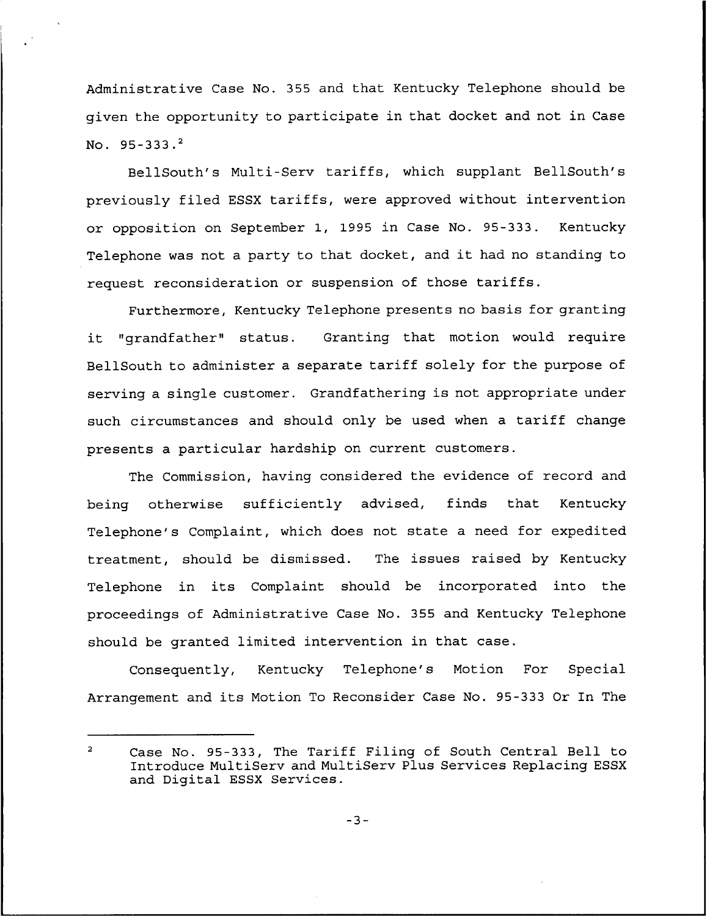Administrative Case No. 355 and that Kentucky Telephone should be given the opportunity to participate in that docket and not in Case No. 95-333.2

BellSouth's Multi-Serv tariffs, which supplant BellSouth's previously filed ESSX tariffs, were approved without intervention or opposition on September 1, 1995 in Case No. 95-333. Kentucky Telephone was not <sup>a</sup> party to that docket, and it had no standing to request reconsideration or suspension of those tariffs.

Furthermore, Kentucky Telephone presents no basis for granting it "grandfather" status. Granting that motion would require BellSouth to administer a separate tariff solely for the purpose of serving a single customer. Grandfathering is not appropriate under such circumstances and should only be used when a tariff change presents a particular hardship on current customers.

The Commission, having considered the evidence of record and being otherwise sufficiently advised, finds that Kentucky Telephone's Complaint, which does not state a need for expedited treatment, should be dismissed. The issues raised by Kentucky Telephone in its Complaint should be incorporated into the proceedings of Administrative Case No. 355 and Kentucky Telephone should be granted limited intervention in that case.

Consequently, Kentucky Telephone's Motion For Special Arrangement and its Motion To Reconsider Case No. 95-333 Or In The

 $\overline{2}$ Case No. 95-333, The Tariff Filing of South Central Bell to Introduce MultiServ and MultiServ Plus Services Replacing ESSX and Digital ESSX Services.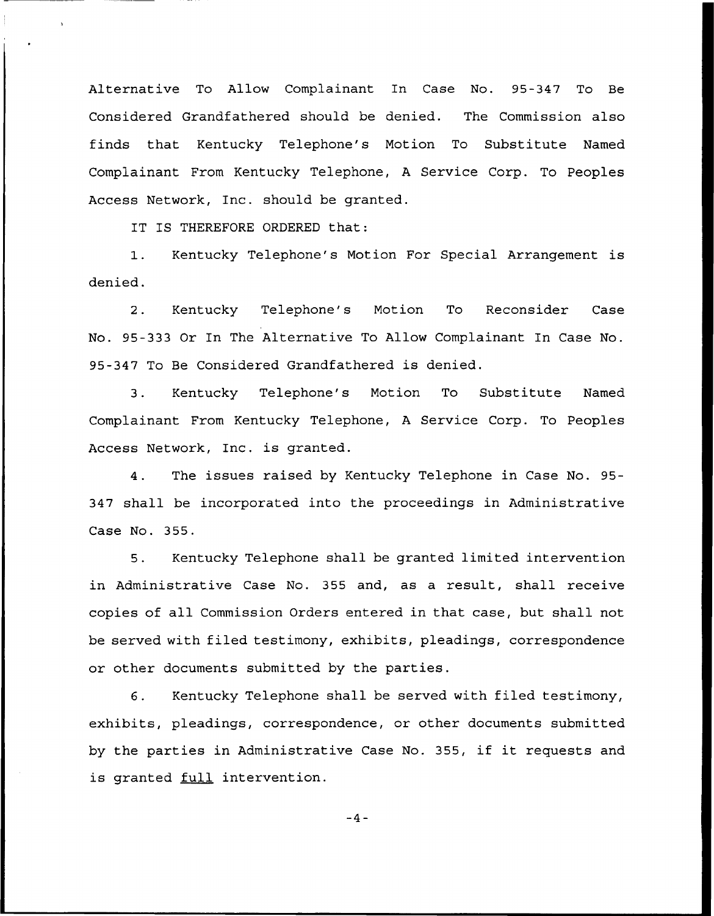Alternative To Allow Complainant In Case No. 95-347 To Be Considered Grandfathered should be denied. The Commission also finds that Kentucky Telephone's Motion To Substitute Named Complainant From Kentucky Telephone, <sup>A</sup> Service Corp. To Peoples Access Network, Inc. should be granted.

IT IS THEREFORE ORDERED that:

1. Kentucky Telephone's Motion For Special Arrangement is denied.

2. Kentucky Telephone's Motion To Reconsider Case No. 95-333 Or In The Alternative To Allow Complainant In Case No. 95-347 To Be Considered Grandfathered is denied.

3. Kentucky Telephone's Motion To Substitute Named Complainant From Kentucky Telephone, <sup>A</sup> Service Corp. To Peoples Access Network, Inc. is granted.

4. The issues raised by Kentucky Telephone in Case No. 95- 347 shall be incorporated into the proceedings in Administrative Case No. 355.

5. Kentucky Telephone shall be granted limited intervention in Administrative Case No. 355 and, as a result, shall receive copies of all Commission Orders entered in that case, but shall not be served with filed testimony, exhibits, pleadings, correspondence or other documents submitted by the parties.

6. Kentucky Telephone shall be served with filed testimony, exhibits, pleadings, correspondence, or other documents submitted by the parties in Administrative Case No. 355, if it requests and is granted full intervention.

 $-4-$